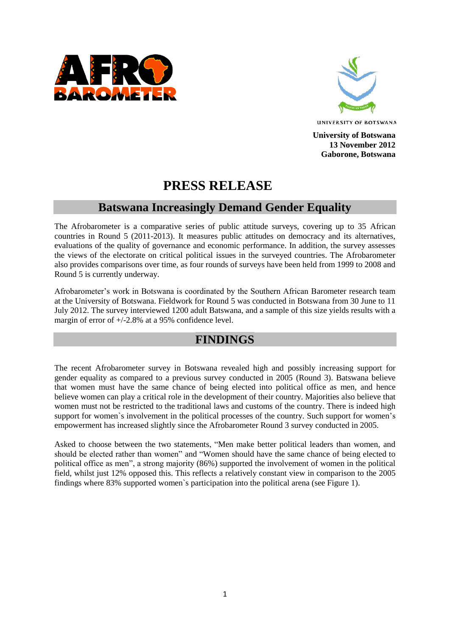



**University of Botswana 13 November 2012 Gaborone, Botswana**

# **PRESS RELEASE**

## **Batswana Increasingly Demand Gender Equality**

The Afrobarometer is a comparative series of public attitude surveys, covering up to 35 African countries in Round 5 (2011-2013). It measures public attitudes on democracy and its alternatives, evaluations of the quality of governance and economic performance. In addition, the survey assesses the views of the electorate on critical political issues in the surveyed countries. The Afrobarometer also provides comparisons over time, as four rounds of surveys have been held from 1999 to 2008 and Round 5 is currently underway.

Afrobarometer's work in Botswana is coordinated by the Southern African Barometer research team at the University of Botswana. Fieldwork for Round 5 was conducted in Botswana from 30 June to 11 July 2012. The survey interviewed 1200 adult Batswana, and a sample of this size yields results with a margin of error of  $+/-2.8\%$  at a 95% confidence level.

### **FINDINGS**

The recent Afrobarometer survey in Botswana revealed high and possibly increasing support for gender equality as compared to a previous survey conducted in 2005 (Round 3). Batswana believe that women must have the same chance of being elected into political office as men, and hence believe women can play a critical role in the development of their country. Majorities also believe that women must not be restricted to the traditional laws and customs of the country. There is indeed high support for women's involvement in the political processes of the country. Such support for women's empowerment has increased slightly since the Afrobarometer Round 3 survey conducted in 2005.

Asked to choose between the two statements, "Men make better political leaders than women, and should be elected rather than women" and "Women should have the same chance of being elected to political office as men", a strong majority (86%) supported the involvement of women in the political field, whilst just 12% opposed this. This reflects a relatively constant view in comparison to the 2005 findings where 83% supported women`s participation into the political arena (see Figure 1).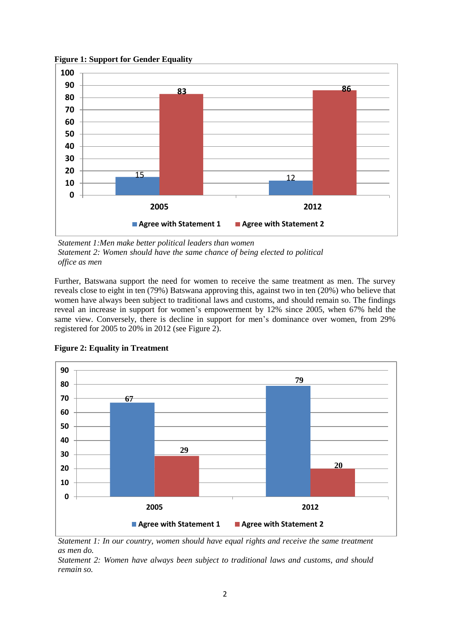**Figure 1: Support for Gender Equality**



*Statement 1:Men make better political leaders than women Statement 2: Women should have the same chance of being elected to political office as men*

Further, Batswana support the need for women to receive the same treatment as men. The survey reveals close to eight in ten (79%) Batswana approving this, against two in ten (20%) who believe that women have always been subject to traditional laws and customs, and should remain so. The findings reveal an increase in support for women's empowerment by 12% since 2005, when 67% held the same view. Conversely, there is decline in support for men's dominance over women, from 29% registered for 2005 to 20% in 2012 (see Figure 2).



**Figure 2: Equality in Treatment** 

*Statement 1: In our country, women should have equal rights and receive the same treatment as men do.*

*Statement 2: Women have always been subject to traditional laws and customs, and should remain so.*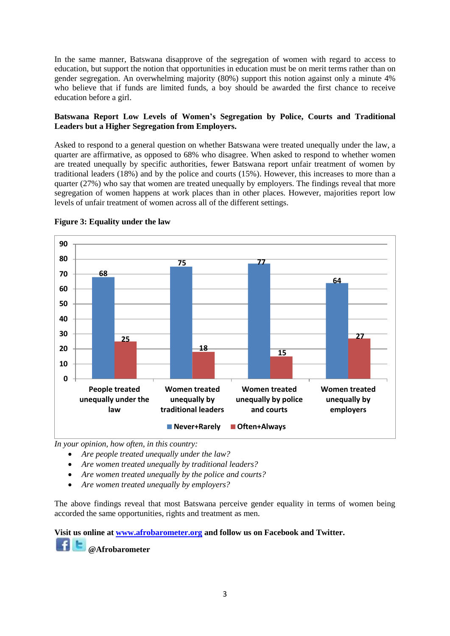In the same manner, Batswana disapprove of the segregation of women with regard to access to education, but support the notion that opportunities in education must be on merit terms rather than on gender segregation. An overwhelming majority (80%) support this notion against only a minute 4% who believe that if funds are limited funds, a boy should be awarded the first chance to receive education before a girl.

### **Batswana Report Low Levels of Women's Segregation by Police, Courts and Traditional Leaders but a Higher Segregation from Employers.**

Asked to respond to a general question on whether Batswana were treated unequally under the law, a quarter are affirmative, as opposed to 68% who disagree. When asked to respond to whether women are treated unequally by specific authorities, fewer Batswana report unfair treatment of women by traditional leaders (18%) and by the police and courts (15%). However, this increases to more than a quarter (27%) who say that women are treated unequally by employers. The findings reveal that more segregation of women happens at work places than in other places. However, majorities report low levels of unfair treatment of women across all of the different settings.



#### **Figure 3: Equality under the law**

*In your opinion, how often, in this country:*

- *Are people treated unequally under the law?*
- *Are women treated unequally by traditional leaders?*
- *Are women treated unequally by the police and courts?*
- *Are women treated unequally by employers?*

The above findings reveal that most Batswana perceive gender equality in terms of women being accorded the same opportunities, rights and treatment as men.

**Visit us online at [www.afrobarometer.org](http://www.afrobarometer.org/) and follow us on Facebook and Twitter. @Afrobarometer**